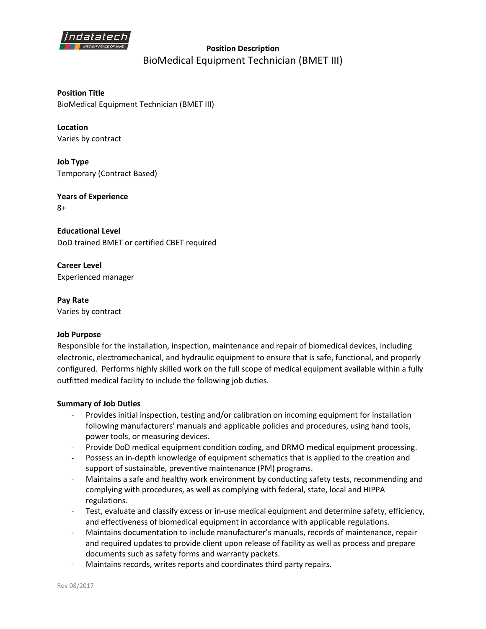

**Position Description**  BioMedical Equipment Technician (BMET III)

**Position Title** BioMedical Equipment Technician (BMET III)

**Location** Varies by contract

**Job Type** Temporary (Contract Based)

**Years of Experience** 8+

**Educational Level** DoD trained BMET or certified CBET required

**Career Level** Experienced manager

**Pay Rate** Varies by contract

## **Job Purpose**

Responsible for the installation, inspection, maintenance and repair of biomedical devices, including electronic, electromechanical, and hydraulic equipment to ensure that is safe, functional, and properly configured. Performs highly skilled work on the full scope of medical equipment available within a fully outfitted medical facility to include the following job duties.

## **Summary of Job Duties**

- Provides initial inspection, testing and/or calibration on incoming equipment for installation following manufacturers' manuals and applicable policies and procedures, using hand tools, power tools, or measuring devices.
- Provide DoD medical equipment condition coding, and DRMO medical equipment processing.
- Possess an in-depth knowledge of equipment schematics that is applied to the creation and support of sustainable, preventive maintenance (PM) programs.
- Maintains a safe and healthy work environment by conducting safety tests, recommending and complying with procedures, as well as complying with federal, state, local and HIPPA regulations.
- Test, evaluate and classify excess or in-use medical equipment and determine safety, efficiency, and effectiveness of biomedical equipment in accordance with applicable regulations.
- Maintains documentation to include manufacturer's manuals, records of maintenance, repair and required updates to provide client upon release of facility as well as process and prepare documents such as safety forms and warranty packets.
- Maintains records, writes reports and coordinates third party repairs.